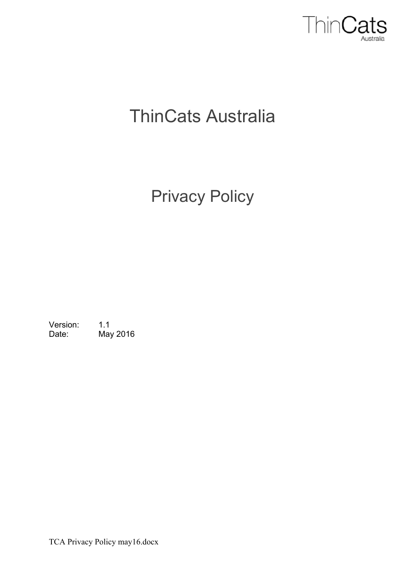

# ThinCats Australia

## Privacy Policy

Version: 1.1 Date: May 2016

TCA Privacy Policy may16.docx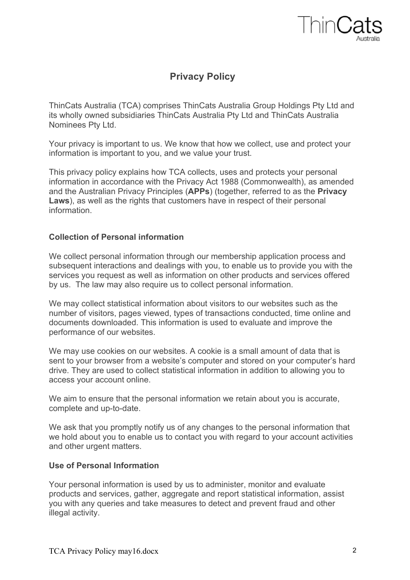

### **Privacy Policy**

ThinCats Australia (TCA) comprises ThinCats Australia Group Holdings Pty Ltd and its wholly owned subsidiaries ThinCats Australia Pty Ltd and ThinCats Australia Nominees Pty Ltd.

Your privacy is important to us. We know that how we collect, use and protect your information is important to you, and we value your trust.

This privacy policy explains how TCA collects, uses and protects your personal information in accordance with the Privacy Act 1988 (Commonwealth), as amended and the Australian Privacy Principles (**APPs**) (together, referred to as the **Privacy Laws**), as well as the rights that customers have in respect of their personal information.

#### **Collection of Personal information**

We collect personal information through our membership application process and subsequent interactions and dealings with you, to enable us to provide you with the services you request as well as information on other products and services offered by us. The law may also require us to collect personal information.

We may collect statistical information about visitors to our websites such as the number of visitors, pages viewed, types of transactions conducted, time online and documents downloaded. This information is used to evaluate and improve the performance of our websites.

We may use cookies on our websites. A cookie is a small amount of data that is sent to your browser from a website's computer and stored on your computer's hard drive. They are used to collect statistical information in addition to allowing you to access your account online.

We aim to ensure that the personal information we retain about you is accurate, complete and up-to-date.

We ask that you promptly notify us of any changes to the personal information that we hold about you to enable us to contact you with regard to your account activities and other urgent matters.

#### **Use of Personal Information**

Your personal information is used by us to administer, monitor and evaluate products and services, gather, aggregate and report statistical information, assist you with any queries and take measures to detect and prevent fraud and other illegal activity.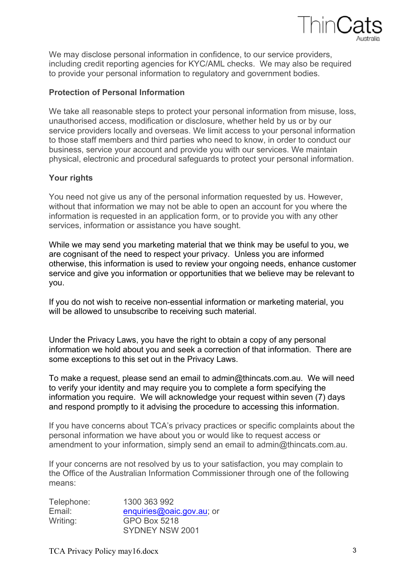

We may disclose personal information in confidence, to our service providers, including credit reporting agencies for KYC/AML checks. We may also be required to provide your personal information to regulatory and government bodies.

#### **Protection of Personal Information**

We take all reasonable steps to protect your personal information from misuse, loss, unauthorised access, modification or disclosure, whether held by us or by our service providers locally and overseas. We limit access to your personal information to those staff members and third parties who need to know, in order to conduct our business, service your account and provide you with our services. We maintain physical, electronic and procedural safeguards to protect your personal information.

#### **Your rights**

You need not give us any of the personal information requested by us. However, without that information we may not be able to open an account for you where the information is requested in an application form, or to provide you with any other services, information or assistance you have sought.

While we may send you marketing material that we think may be useful to you, we are cognisant of the need to respect your privacy. Unless you are informed otherwise, this information is used to review your ongoing needs, enhance customer service and give you information or opportunities that we believe may be relevant to you.

If you do not wish to receive non-essential information or marketing material, you will be allowed to unsubscribe to receiving such material.

Under the Privacy Laws, you have the right to obtain a copy of any personal information we hold about you and seek a correction of that information. There are some exceptions to this set out in the Privacy Laws.

To make a request, please send an email to admin@thincats.com.au. We will need to verify your identity and may require you to complete a form specifying the information you require. We will acknowledge your request within seven (7) days and respond promptly to it advising the procedure to accessing this information.

If you have concerns about TCA's privacy practices or specific complaints about the personal information we have about you or would like to request access or amendment to your information, simply send an email to admin@thincats.com.au.

If your concerns are not resolved by us to your satisfaction, you may complain to the Office of the Australian Information Commissioner through one of the following means:

| Telephone: | 1300 363 992              |
|------------|---------------------------|
| Email:     | enquiries@oaic.gov.au; or |
| Writing:   | <b>GPO Box 5218</b>       |
|            | SYDNEY NSW 2001           |